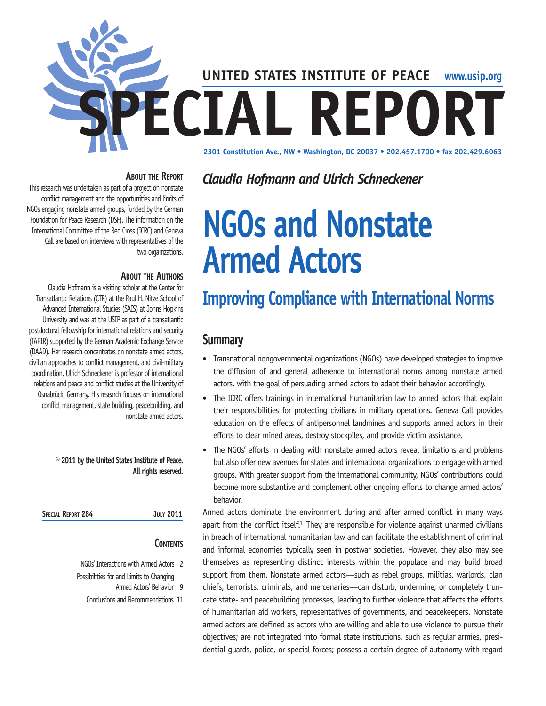

## **About the Report**

This research was undertaken as part of a project on nonstate conflict management and the opportunities and limits of NGOs engaging nonstate armed groups, funded by the German Foundation for Peace Research (DSF). The information on the International Committee of the Red Cross (ICRC) and Geneva Call are based on interviews with representatives of the two organizations.

## **About the Authors**

Claudia Hofmann is a visiting scholar at the Center for Transatlantic Relations (CTR) at the Paul H. Nitze School of Advanced International Studies (SAIS) at Johns Hopkins University and was at the USIP as part of a transatlantic postdoctoral fellowship for international relations and security (TAPIR) supported by the German Academic Exchange Service (DAAD). Her research concentrates on nonstate armed actors, civilian approaches to conflict management, and civil-military coordination. Ulrich Schneckener is professor of international relations and peace and conflict studies at the University of Osnabrück, Germany. His research focuses on international conflict management, state building, peacebuilding, and nonstate armed actors.

#### **© 2011 by the United States Institute of Peace. All rights reserved.**

| SPECIAL REPORT 284 |  | <b>JULY 2011</b> |
|--------------------|--|------------------|
|                    |  |                  |

## **CONTENTS**

- NGOs' Interactions with Armed Actors 2 Possibilities for and Limits to Changing
	- Armed Actors' Behavior 9
	- Conclusions and Recommendations 11

# *Claudia Hofmann and Ulrich Schneckener*

# **NGOs and Nonstate Armed Actors**

# **Improving Compliance with International Norms**

## **Summary**

- Transnational nongovernmental organizations (NGOs) have developed strategies to improve the diffusion of and general adherence to international norms among nonstate armed actors, with the goal of persuading armed actors to adapt their behavior accordingly.
- The ICRC offers trainings in international humanitarian law to armed actors that explain their responsibilities for protecting civilians in military operations. Geneva Call provides education on the effects of antipersonnel landmines and supports armed actors in their efforts to clear mined areas, destroy stockpiles, and provide victim assistance.
- The NGOs' efforts in dealing with nonstate armed actors reveal limitations and problems but also offer new avenues for states and international organizations to engage with armed groups. With greater support from the international community, NGOs' contributions could become more substantive and complement other ongoing efforts to change armed actors' behavior.

Armed actors dominate the environment during and after armed conflict in many ways apart from the conflict itself.<sup>1</sup> They are responsible for violence against unarmed civilians in breach of international humanitarian law and can facilitate the establishment of criminal and informal economies typically seen in postwar societies. However, they also may see themselves as representing distinct interests within the populace and may build broad support from them. Nonstate armed actors—such as rebel groups, militias, warlords, clan chiefs, terrorists, criminals, and mercenaries—can disturb, undermine, or completely truncate state- and peacebuilding processes, leading to further violence that affects the efforts of humanitarian aid workers, representatives of governments, and peacekeepers. Nonstate armed actors are defined as actors who are willing and able to use violence to pursue their objectives; are not integrated into formal state institutions, such as regular armies, presidential guards, police, or special forces; possess a certain degree of autonomy with regard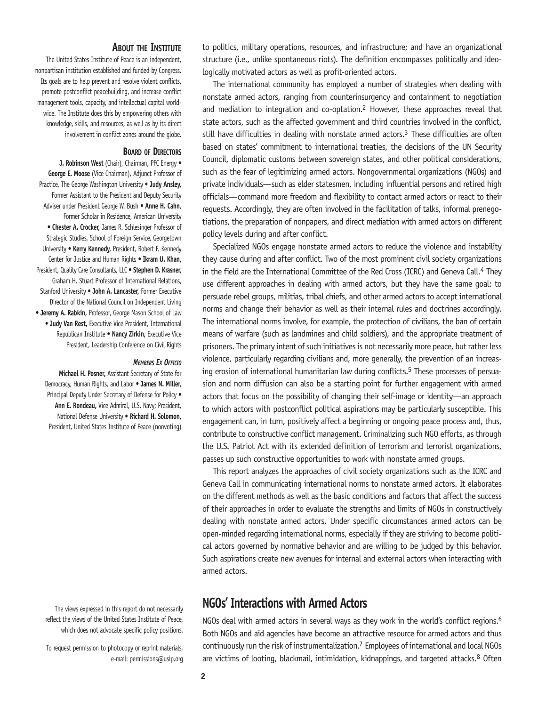#### **About the Institute**

The United States Institute of Peace is an independent, nonpartisan institution established and funded by Congress. Its goals are to help prevent and resolve violent conflicts, promote postconflict peacebuilding, and increase conflict management tools, capacity, and intellectual capital worldwide. The Institute does this by empowering others with knowledge, skills, and resources, as well as by its direct involvement in conflict zones around the globe.

#### **Board of Directors**

**J. Robinson West** (Chair), Chairman, PFC Energy • **George E. Moose** (Vice Chairman), Adjunct Professor of Practice, The George Washington University • **Judy Ansley,** Former Assistant to the President and Deputy Security Adviser under President George W. Bush • **Anne H. Cahn,** Former Scholar in Residence, American University • **Chester A. Crocker,** James R. Schlesinger Professor of Strategic Studies, School of Foreign Service, Georgetown University • **Kerry Kennedy,** President, Robert F. Kennedy Center for Justice and Human Rights • **Ikram U. Khan,** President, Quality Care Consultants, LLC • **Stephen D. Krasner,** Graham H. Stuart Professor of International Relations, Stanford University • **John A. Lancaster,** Former Executive Director of the National Council on Independent Living • **Jeremy A. Rabkin,** Professor, George Mason School of Law • **Judy Van Rest,** Executive Vice President, International Republican Institute • **Nancy Zirkin,** Executive Vice President, Leadership Conference on Civil Rights

#### *Members Ex Officio*

**Michael H. Posner,** Assistant Secretary of State for Democracy, Human Rights, and Labor • **James N. Miller,**  Principal Deputy Under Secretary of Defense for Policy . **Ann E. Rondeau,** Vice Admiral, U.S. Navy; President, National Defense University • **Richard H. Solomon,**  President, United States Institute of Peace (nonvoting)

The views expressed in this report do not necessarily reflect the views of the United States Institute of Peace, which does not advocate specific policy positions.

To request permission to photocopy or reprint materials, e-mail: permissions@usip.org to politics, military operations, resources, and infrastructure; and have an organizational structure (i.e., unlike spontaneous riots). The definition encompasses politically and ideologically motivated actors as well as profit-oriented actors.

The international community has employed a number of strategies when dealing with nonstate armed actors, ranging from counterinsurgency and containment to negotiation and mediation to integration and co-optation.2 However, these approaches reveal that state actors, such as the affected government and third countries involved in the conflict, still have difficulties in dealing with nonstate armed actors.<sup>3</sup> These difficulties are often based on states' commitment to international treaties, the decisions of the UN Security Council, diplomatic customs between sovereign states, and other political considerations, such as the fear of legitimizing armed actors. Nongovernmental organizations (NGOs) and private individuals—such as elder statesmen, including influential persons and retired high officials—command more freedom and flexibility to contact armed actors or react to their requests. Accordingly, they are often involved in the facilitation of talks, informal prenegotiations, the preparation of nonpapers, and direct mediation with armed actors on different policy levels during and after conflict.

Specialized NGOs engage nonstate armed actors to reduce the violence and instability they cause during and after conflict. Two of the most prominent civil society organizations in the field are the International Committee of the Red Cross (ICRC) and Geneva Call.<sup>4</sup> They use different approaches in dealing with armed actors, but they have the same goal: to persuade rebel groups, militias, tribal chiefs, and other armed actors to accept international norms and change their behavior as well as their internal rules and doctrines accordingly. The international norms involve, for example, the protection of civilians, the ban of certain means of warfare (such as landmines and child soldiers), and the appropriate treatment of prisoners. The primary intent of such initiatives is not necessarily more peace, but rather less violence, particularly regarding civilians and, more generally, the prevention of an increasing erosion of international humanitarian law during conflicts.<sup>5</sup> These processes of persuasion and norm diffusion can also be a starting point for further engagement with armed actors that focus on the possibility of changing their self-image or identity—an approach to which actors with postconflict political aspirations may be particularly susceptible. This engagement can, in turn, positively affect a beginning or ongoing peace process and, thus, contribute to constructive conflict management. Criminalizing such NGO efforts, as through the U.S. Patriot Act with its extended definition of terrorism and terrorist organizations, passes up such constructive opportunities to work with nonstate armed groups.

This report analyzes the approaches of civil society organizations such as the ICRC and Geneva Call in communicating international norms to nonstate armed actors. It elaborates on the different methods as well as the basic conditions and factors that affect the success of their approaches in order to evaluate the strengths and limits of NGOs in constructively dealing with nonstate armed actors. Under specific circumstances armed actors can be open-minded regarding international norms, especially if they are striving to become political actors governed by normative behavior and are willing to be judged by this behavior. Such aspirations create new avenues for internal and external actors when interacting with armed actors.

## **NGOs' Interactions with Armed Actors**

NGOs deal with armed actors in several ways as they work in the world's conflict regions.<sup>6</sup> Both NGOs and aid agencies have become an attractive resource for armed actors and thus continuously run the risk of instrumentalization.7 Employees of international and local NGOs are victims of looting, blackmail, intimidation, kidnappings, and targeted attacks.<sup>8</sup> Often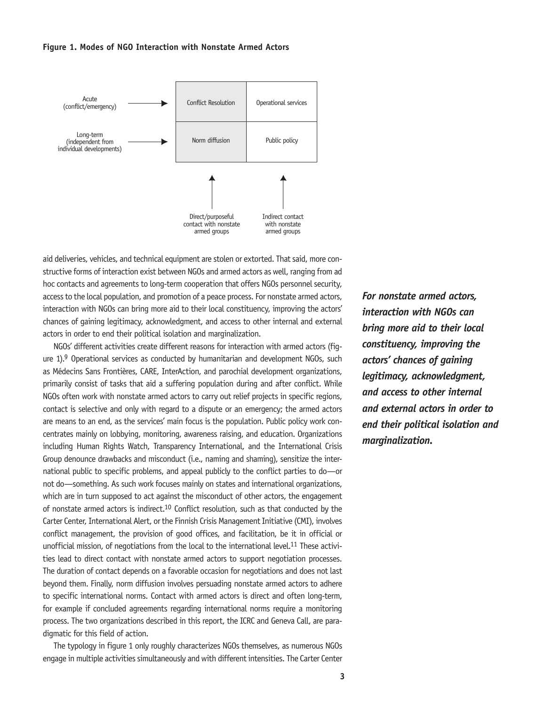#### **Figure 1. Modes of NGO Interaction with Nonstate Armed Actors**



aid deliveries, vehicles, and technical equipment are stolen or extorted. That said, more constructive forms of interaction exist between NGOs and armed actors as well, ranging from ad hoc contacts and agreements to long-term cooperation that offers NGOs personnel security, access to the local population, and promotion of a peace process. For nonstate armed actors, interaction with NGOs can bring more aid to their local constituency, improving the actors' chances of gaining legitimacy, acknowledgment, and access to other internal and external actors in order to end their political isolation and marginalization.

NGOs' different activities create different reasons for interaction with armed actors (figure 1).9 Operational services as conducted by humanitarian and development NGOs, such as Médecins Sans Frontières, CARE, InterAction, and parochial development organizations, primarily consist of tasks that aid a suffering population during and after conflict. While NGOs often work with nonstate armed actors to carry out relief projects in specific regions, contact is selective and only with regard to a dispute or an emergency; the armed actors are means to an end, as the services' main focus is the population. Public policy work concentrates mainly on lobbying, monitoring, awareness raising, and education. Organizations including Human Rights Watch, Transparency International, and the International Crisis Group denounce drawbacks and misconduct (i.e., naming and shaming), sensitize the international public to specific problems, and appeal publicly to the conflict parties to do—or not do—something. As such work focuses mainly on states and international organizations, which are in turn supposed to act against the misconduct of other actors, the engagement of nonstate armed actors is indirect.10 Conflict resolution, such as that conducted by the Carter Center, International Alert, or the Finnish Crisis Management Initiative (CMI), involves conflict management, the provision of good offices, and facilitation, be it in official or unofficial mission, of negotiations from the local to the international level.11 These activities lead to direct contact with nonstate armed actors to support negotiation processes. The duration of contact depends on a favorable occasion for negotiations and does not last beyond them. Finally, norm diffusion involves persuading nonstate armed actors to adhere to specific international norms. Contact with armed actors is direct and often long-term, for example if concluded agreements regarding international norms require a monitoring process. The two organizations described in this report, the ICRC and Geneva Call, are paradigmatic for this field of action.

The typology in figure 1 only roughly characterizes NGOs themselves, as numerous NGOs engage in multiple activities simultaneously and with different intensities. The Carter Center *For nonstate armed actors, interaction with NGOs can bring more aid to their local constituency, improving the actors' chances of gaining legitimacy, acknowledgment, and access to other internal and external actors in order to end their political isolation and marginalization.*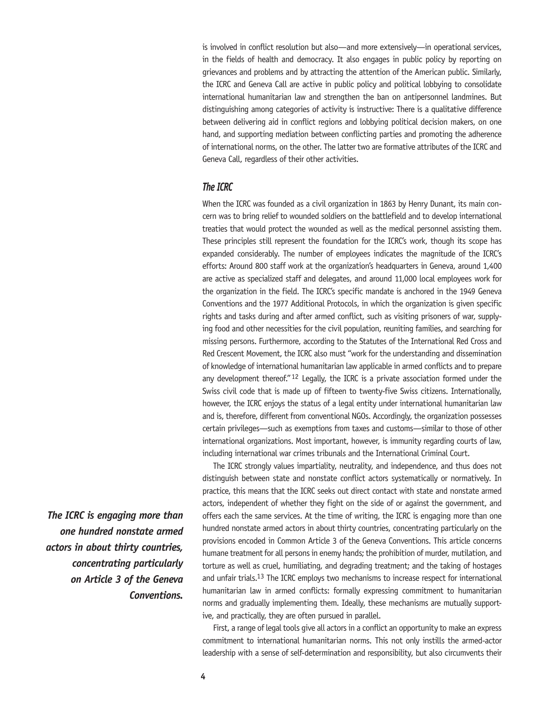is involved in conflict resolution but also—and more extensively—in operational services, in the fields of health and democracy. It also engages in public policy by reporting on grievances and problems and by attracting the attention of the American public. Similarly, the ICRC and Geneva Call are active in public policy and political lobbying to consolidate international humanitarian law and strengthen the ban on antipersonnel landmines. But distinguishing among categories of activity is instructive: There is a qualitative difference between delivering aid in conflict regions and lobbying political decision makers, on one hand, and supporting mediation between conflicting parties and promoting the adherence of international norms, on the other. The latter two are formative attributes of the ICRC and Geneva Call, regardless of their other activities.

## *The ICRC*

When the ICRC was founded as a civil organization in 1863 by Henry Dunant, its main concern was to bring relief to wounded soldiers on the battlefield and to develop international treaties that would protect the wounded as well as the medical personnel assisting them. These principles still represent the foundation for the ICRC's work, though its scope has expanded considerably. The number of employees indicates the magnitude of the ICRC's efforts: Around 800 staff work at the organization's headquarters in Geneva, around 1,400 are active as specialized staff and delegates, and around 11,000 local employees work for the organization in the field. The ICRC's specific mandate is anchored in the 1949 Geneva Conventions and the 1977 Additional Protocols, in which the organization is given specific rights and tasks during and after armed conflict, such as visiting prisoners of war, supplying food and other necessities for the civil population, reuniting families, and searching for missing persons. Furthermore, according to the Statutes of the International Red Cross and Red Crescent Movement, the ICRC also must "work for the understanding and dissemination of knowledge of international humanitarian law applicable in armed conflicts and to prepare any development thereof."<sup>12</sup> Legally, the ICRC is a private association formed under the Swiss civil code that is made up of fifteen to twenty-five Swiss citizens. Internationally, however, the ICRC enjoys the status of a legal entity under international humanitarian law and is, therefore, different from conventional NGOs. Accordingly, the organization possesses certain privileges—such as exemptions from taxes and customs—similar to those of other international organizations. Most important, however, is immunity regarding courts of law, including international war crimes tribunals and the International Criminal Court.

The ICRC strongly values impartiality, neutrality, and independence, and thus does not distinguish between state and nonstate conflict actors systematically or normatively. In practice, this means that the ICRC seeks out direct contact with state and nonstate armed actors, independent of whether they fight on the side of or against the government, and offers each the same services. At the time of writing, the ICRC is engaging more than one hundred nonstate armed actors in about thirty countries, concentrating particularly on the provisions encoded in Common Article 3 of the Geneva Conventions. This article concerns humane treatment for all persons in enemy hands; the prohibition of murder, mutilation, and torture as well as cruel, humiliating, and degrading treatment; and the taking of hostages and unfair trials.13 The ICRC employs two mechanisms to increase respect for international humanitarian law in armed conflicts: formally expressing commitment to humanitarian norms and gradually implementing them. Ideally, these mechanisms are mutually supportive, and practically, they are often pursued in parallel.

First, a range of legal tools give all actors in a conflict an opportunity to make an express commitment to international humanitarian norms. This not only instills the armed-actor leadership with a sense of self-determination and responsibility, but also circumvents their

*The ICRC is engaging more than one hundred nonstate armed actors in about thirty countries, concentrating particularly on Article 3 of the Geneva Conventions.*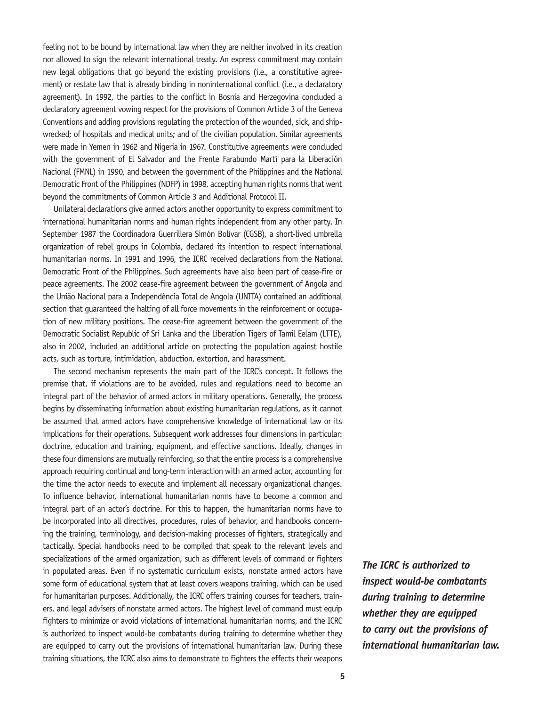feeling not to be bound by international law when they are neither involved in its creation nor allowed to sign the relevant international treaty. An express commitment may contain new legal obligations that go beyond the existing provisions (i.e., a constitutive agreement) or restate law that is already binding in noninternational conflict (i.e., a declaratory agreement). In 1992, the parties to the conflict in Bosnia and Herzegovina concluded a declaratory agreement vowing respect for the provisions of Common Article 3 of the Geneva Conventions and adding provisions regulating the protection of the wounded, sick, and shipwrecked; of hospitals and medical units; and of the civilian population. Similar agreements were made in Yemen in 1962 and Nigeria in 1967. Constitutive agreements were concluded with the government of El Salvador and the Frente Farabundo Martí para la Liberación Nacional (FMNL) in 1990, and between the government of the Philippines and the National Democratic Front of the Philippines (NDFP) in 1998, accepting human rights norms that went beyond the commitments of Common Article 3 and Additional Protocol II.

Unilateral declarations give armed actors another opportunity to express commitment to international humanitarian norms and human rights independent from any other party. In September 1987 the Coordinadora Guerrillera Simón Bolívar (CGSB), a short-lived umbrella organization of rebel groups in Colombia, declared its intention to respect international humanitarian norms. In 1991 and 1996, the ICRC received declarations from the National Democratic Front of the Philippines. Such agreements have also been part of cease-fire or peace agreements. The 2002 cease-fire agreement between the government of Angola and the União Nacional para a Independência Total de Angola (UNITA) contained an additional section that guaranteed the halting of all force movements in the reinforcement or occupation of new military positions. The cease-fire agreement between the government of the Democratic Socialist Republic of Sri Lanka and the Liberation Tigers of Tamil Eelam (LTTE), also in 2002, included an additional article on protecting the population against hostile acts, such as torture, intimidation, abduction, extortion, and harassment.

The second mechanism represents the main part of the ICRC's concept. It follows the premise that, if violations are to be avoided, rules and regulations need to become an integral part of the behavior of armed actors in military operations. Generally, the process begins by disseminating information about existing humanitarian regulations, as it cannot be assumed that armed actors have comprehensive knowledge of international law or its implications for their operations. Subsequent work addresses four dimensions in particular: doctrine, education and training, equipment, and effective sanctions. Ideally, changes in these four dimensions are mutually reinforcing, so that the entire process is a comprehensive approach requiring continual and long-term interaction with an armed actor, accounting for the time the actor needs to execute and implement all necessary organizational changes. To influence behavior, international humanitarian norms have to become a common and integral part of an actor's doctrine. For this to happen, the humanitarian norms have to be incorporated into all directives, procedures, rules of behavior, and handbooks concerning the training, terminology, and decision-making processes of fighters, strategically and tactically. Special handbooks need to be compiled that speak to the relevant levels and specializations of the armed organization, such as different levels of command or fighters in populated areas. Even if no systematic curriculum exists, nonstate armed actors have some form of educational system that at least covers weapons training, which can be used for humanitarian purposes. Additionally, the ICRC offers training courses for teachers, trainers, and legal advisers of nonstate armed actors. The highest level of command must equip fighters to minimize or avoid violations of international humanitarian norms, and the ICRC is authorized to inspect would-be combatants during training to determine whether they are equipped to carry out the provisions of international humanitarian law. During these training situations, the ICRC also aims to demonstrate to fighters the effects their weapons

*The ICRC is authorized to inspect would-be combatants during training to determine whether they are equipped to carry out the provisions of international humanitarian law.*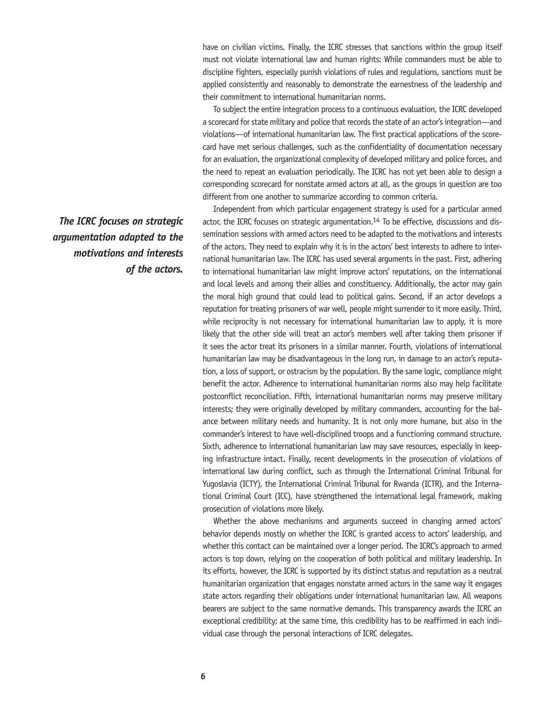have on civilian victims. Finally, the ICRC stresses that sanctions within the group itself must not violate international law and human rights: While commanders must be able to discipline fighters, especially punish violations of rules and regulations, sanctions must be applied consistently and reasonably to demonstrate the earnestness of the leadership and their commitment to international humanitarian norms.

To subject the entire integration process to a continuous evaluation, the ICRC developed a scorecard for state military and police that records the state of an actor's integration—and violations—of international humanitarian law. The first practical applications of the scorecard have met serious challenges, such as the confidentiality of documentation necessary for an evaluation, the organizational complexity of developed military and police forces, and the need to repeat an evaluation periodically. The ICRC has not yet been able to design a corresponding scorecard for nonstate armed actors at all, as the groups in question are too different from one another to summarize according to common criteria.

Independent from which particular engagement strategy is used for a particular armed actor, the ICRC focuses on strategic argumentation.14 To be effective, discussions and dissemination sessions with armed actors need to be adapted to the motivations and interests of the actors. They need to explain why it is in the actors' best interests to adhere to international humanitarian law. The ICRC has used several arguments in the past. First, adhering to international humanitarian law might improve actors' reputations, on the international and local levels and among their allies and constituency. Additionally, the actor may gain the moral high ground that could lead to political gains. Second, if an actor develops a reputation for treating prisoners of war well, people might surrender to it more easily. Third, while reciprocity is not necessary for international humanitarian law to apply, it is more likely that the other side will treat an actor's members well after taking them prisoner if it sees the actor treat its prisoners in a similar manner. Fourth, violations of international humanitarian law may be disadvantageous in the long run, in damage to an actor's reputation, a loss of support, or ostracism by the population. By the same logic, compliance might benefit the actor. Adherence to international humanitarian norms also may help facilitate postconflict reconciliation. Fifth, international humanitarian norms may preserve military interests; they were originally developed by military commanders, accounting for the balance between military needs and humanity. It is not only more humane, but also in the commander's interest to have well-disciplined troops and a functioning command structure. Sixth, adherence to international humanitarian law may save resources, especially in keeping infrastructure intact. Finally, recent developments in the prosecution of violations of international law during conflict, such as through the International Criminal Tribunal for Yugoslavia (ICTY), the International Criminal Tribunal for Rwanda (ICTR), and the International Criminal Court (ICC), have strengthened the international legal framework, making prosecution of violations more likely.

Whether the above mechanisms and arguments succeed in changing armed actors' behavior depends mostly on whether the ICRC is granted access to actors' leadership, and whether this contact can be maintained over a longer period. The ICRC's approach to armed actors is top down, relying on the cooperation of both political and military leadership. In its efforts, however, the ICRC is supported by its distinct status and reputation as a neutral humanitarian organization that engages nonstate armed actors in the same way it engages state actors regarding their obligations under international humanitarian law. All weapons bearers are subject to the same normative demands. This transparency awards the ICRC an exceptional credibility; at the same time, this credibility has to be reaffirmed in each individual case through the personal interactions of ICRC delegates.

*The ICRC focuses on strategic argumentation adapted to the motivations and interests of the actors.*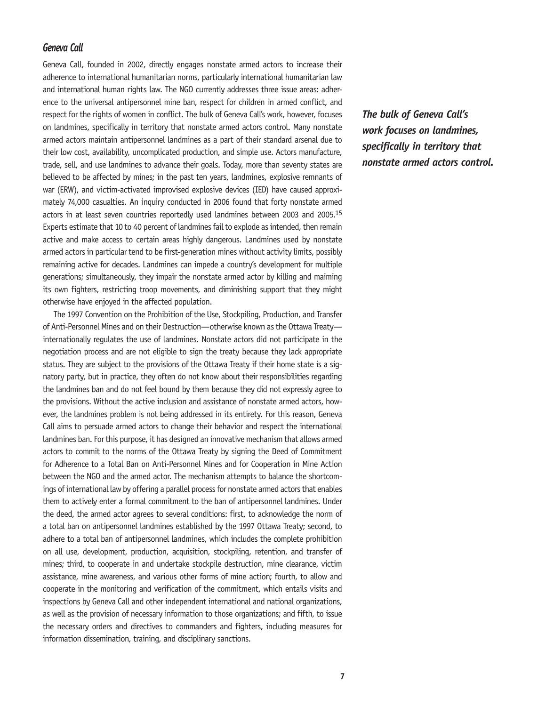## *Geneva Call*

Geneva Call, founded in 2002, directly engages nonstate armed actors to increase their adherence to international humanitarian norms, particularly international humanitarian law and international human rights law. The NGO currently addresses three issue areas: adherence to the universal antipersonnel mine ban, respect for children in armed conflict, and respect for the rights of women in conflict. The bulk of Geneva Call's work, however, focuses on landmines, specifically in territory that nonstate armed actors control. Many nonstate armed actors maintain antipersonnel landmines as a part of their standard arsenal due to their low cost, availability, uncomplicated production, and simple use. Actors manufacture, trade, sell, and use landmines to advance their goals. Today, more than seventy states are believed to be affected by mines; in the past ten years, landmines, explosive remnants of war (ERW), and victim-activated improvised explosive devices (IED) have caused approximately 74,000 casualties. An inquiry conducted in 2006 found that forty nonstate armed actors in at least seven countries reportedly used landmines between 2003 and 2005.15 Experts estimate that 10 to 40 percent of landmines fail to explode as intended, then remain active and make access to certain areas highly dangerous. Landmines used by nonstate armed actors in particular tend to be first-generation mines without activity limits, possibly remaining active for decades. Landmines can impede a country's development for multiple generations; simultaneously, they impair the nonstate armed actor by killing and maiming its own fighters, restricting troop movements, and diminishing support that they might otherwise have enjoyed in the affected population.

The 1997 Convention on the Prohibition of the Use, Stockpiling, Production, and Transfer of Anti-Personnel Mines and on their Destruction—otherwise known as the Ottawa Treaty internationally regulates the use of landmines. Nonstate actors did not participate in the negotiation process and are not eligible to sign the treaty because they lack appropriate status. They are subject to the provisions of the Ottawa Treaty if their home state is a signatory party, but in practice, they often do not know about their responsibilities regarding the landmines ban and do not feel bound by them because they did not expressly agree to the provisions. Without the active inclusion and assistance of nonstate armed actors, however, the landmines problem is not being addressed in its entirety. For this reason, Geneva Call aims to persuade armed actors to change their behavior and respect the international landmines ban. For this purpose, it has designed an innovative mechanism that allows armed actors to commit to the norms of the Ottawa Treaty by signing the Deed of Commitment for Adherence to a Total Ban on Anti-Personnel Mines and for Cooperation in Mine Action between the NGO and the armed actor. The mechanism attempts to balance the shortcomings of international law by offering a parallel process for nonstate armed actors that enables them to actively enter a formal commitment to the ban of antipersonnel landmines. Under the deed, the armed actor agrees to several conditions: first, to acknowledge the norm of a total ban on antipersonnel landmines established by the 1997 Ottawa Treaty; second, to adhere to a total ban of antipersonnel landmines, which includes the complete prohibition on all use, development, production, acquisition, stockpiling, retention, and transfer of mines; third, to cooperate in and undertake stockpile destruction, mine clearance, victim assistance, mine awareness, and various other forms of mine action; fourth, to allow and cooperate in the monitoring and verification of the commitment, which entails visits and inspections by Geneva Call and other independent international and national organizations, as well as the provision of necessary information to those organizations; and fifth, to issue the necessary orders and directives to commanders and fighters, including measures for information dissemination, training, and disciplinary sanctions.

*The bulk of Geneva Call's work focuses on landmines, specifically in territory that nonstate armed actors control.*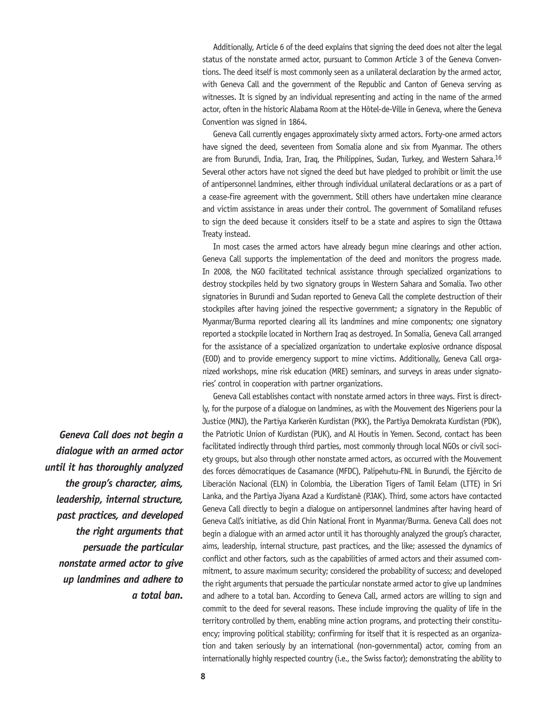Additionally, Article 6 of the deed explains that signing the deed does not alter the legal status of the nonstate armed actor, pursuant to Common Article 3 of the Geneva Conventions. The deed itself is most commonly seen as a unilateral declaration by the armed actor, with Geneva Call and the government of the Republic and Canton of Geneva serving as witnesses. It is signed by an individual representing and acting in the name of the armed actor, often in the historic Alabama Room at the Hôtel-de-Ville in Geneva, where the Geneva Convention was signed in 1864.

Geneva Call currently engages approximately sixty armed actors. Forty-one armed actors have signed the deed, seventeen from Somalia alone and six from Myanmar. The others are from Burundi, India, Iran, Iraq, the Philippines, Sudan, Turkey, and Western Sahara.16 Several other actors have not signed the deed but have pledged to prohibit or limit the use of antipersonnel landmines, either through individual unilateral declarations or as a part of a cease-fire agreement with the government. Still others have undertaken mine clearance and victim assistance in areas under their control. The government of Somaliland refuses to sign the deed because it considers itself to be a state and aspires to sign the Ottawa Treaty instead.

In most cases the armed actors have already begun mine clearings and other action. Geneva Call supports the implementation of the deed and monitors the progress made. In 2008, the NGO facilitated technical assistance through specialized organizations to destroy stockpiles held by two signatory groups in Western Sahara and Somalia. Two other signatories in Burundi and Sudan reported to Geneva Call the complete destruction of their stockpiles after having joined the respective government; a signatory in the Republic of Myanmar/Burma reported clearing all its landmines and mine components; one signatory reported a stockpile located in Northern Iraq as destroyed. In Somalia, Geneva Call arranged for the assistance of a specialized organization to undertake explosive ordnance disposal (EOD) and to provide emergency support to mine victims. Additionally, Geneva Call organized workshops, mine risk education (MRE) seminars, and surveys in areas under signatories' control in cooperation with partner organizations.

Geneva Call establishes contact with nonstate armed actors in three ways. First is directly, for the purpose of a dialogue on landmines, as with the Mouvement des Nigeriens pour la Justice (MNJ), the Partiya Karkerên Kurdistan (PKK), the Partîya Demokrata Kurdistan (PDK), the Patriotic Union of Kurdistan (PUK), and Al Houtis in Yemen. Second, contact has been facilitated indirectly through third parties, most commonly through local NGOs or civil society groups, but also through other nonstate armed actors, as occurred with the Mouvement des forces démocratiques de Casamance (MFDC), Palipehutu-FNL in Burundi, the Ejército de Liberación Nacional (ELN) in Colombia, the Liberation Tigers of Tamil Eelam (LTTE) in Sri Lanka, and the Partiya Jiyana Azad a Kurdistanê (PJAK). Third, some actors have contacted Geneva Call directly to begin a dialogue on antipersonnel landmines after having heard of Geneva Call's initiative, as did Chin National Front in Myanmar/Burma. Geneva Call does not begin a dialogue with an armed actor until it has thoroughly analyzed the group's character, aims, leadership, internal structure, past practices, and the like; assessed the dynamics of conflict and other factors, such as the capabilities of armed actors and their assumed commitment, to assure maximum security; considered the probability of success; and developed the right arguments that persuade the particular nonstate armed actor to give up landmines and adhere to a total ban. According to Geneva Call, armed actors are willing to sign and commit to the deed for several reasons. These include improving the quality of life in the territory controlled by them, enabling mine action programs, and protecting their constituency; improving political stability; confirming for itself that it is respected as an organization and taken seriously by an international (non-governmental) actor, coming from an internationally highly respected country (i.e., the Swiss factor); demonstrating the ability to

*Geneva Call does not begin a dialogue with an armed actor until it has thoroughly analyzed the group's character, aims, leadership, internal structure, past practices, and developed the right arguments that persuade the particular nonstate armed actor to give up landmines and adhere to a total ban.*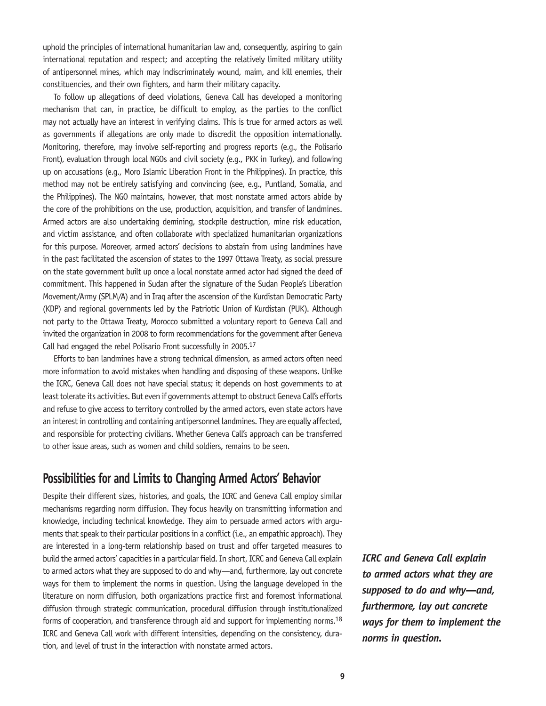uphold the principles of international humanitarian law and, consequently, aspiring to gain international reputation and respect; and accepting the relatively limited military utility of antipersonnel mines, which may indiscriminately wound, maim, and kill enemies, their constituencies, and their own fighters, and harm their military capacity.

To follow up allegations of deed violations, Geneva Call has developed a monitoring mechanism that can, in practice, be difficult to employ, as the parties to the conflict may not actually have an interest in verifying claims. This is true for armed actors as well as governments if allegations are only made to discredit the opposition internationally. Monitoring, therefore, may involve self-reporting and progress reports (e.g., the Polisario Front), evaluation through local NGOs and civil society (e.g., PKK in Turkey), and following up on accusations (e.g., Moro Islamic Liberation Front in the Philippines). In practice, this method may not be entirely satisfying and convincing (see, e.g., Puntland, Somalia, and the Philippines). The NGO maintains, however, that most nonstate armed actors abide by the core of the prohibitions on the use, production, acquisition, and transfer of landmines. Armed actors are also undertaking demining, stockpile destruction, mine risk education, and victim assistance, and often collaborate with specialized humanitarian organizations for this purpose. Moreover, armed actors' decisions to abstain from using landmines have in the past facilitated the ascension of states to the 1997 Ottawa Treaty, as social pressure on the state government built up once a local nonstate armed actor had signed the deed of commitment. This happened in Sudan after the signature of the Sudan People's Liberation Movement/Army (SPLM/A) and in Iraq after the ascension of the Kurdistan Democratic Party (KDP) and regional governments led by the Patriotic Union of Kurdistan (PUK). Although not party to the Ottawa Treaty, Morocco submitted a voluntary report to Geneva Call and invited the organization in 2008 to form recommendations for the government after Geneva Call had engaged the rebel Polisario Front successfully in 2005.17

Efforts to ban landmines have a strong technical dimension, as armed actors often need more information to avoid mistakes when handling and disposing of these weapons. Unlike the ICRC, Geneva Call does not have special status; it depends on host governments to at least tolerate its activities. But even if governments attempt to obstruct Geneva Call's efforts and refuse to give access to territory controlled by the armed actors, even state actors have an interest in controlling and containing antipersonnel landmines. They are equally affected, and responsible for protecting civilians. Whether Geneva Call's approach can be transferred to other issue areas, such as women and child soldiers, remains to be seen.

## **Possibilities for and Limits to Changing Armed Actors' Behavior**

Despite their different sizes, histories, and goals, the ICRC and Geneva Call employ similar mechanisms regarding norm diffusion. They focus heavily on transmitting information and knowledge, including technical knowledge. They aim to persuade armed actors with arguments that speak to their particular positions in a conflict (i.e., an empathic approach). They are interested in a long-term relationship based on trust and offer targeted measures to build the armed actors' capacities in a particular field. In short, ICRC and Geneva Call explain to armed actors what they are supposed to do and why—and, furthermore, lay out concrete ways for them to implement the norms in question. Using the language developed in the literature on norm diffusion, both organizations practice first and foremost informational diffusion through strategic communication, procedural diffusion through institutionalized forms of cooperation, and transference through aid and support for implementing norms.<sup>18</sup> ICRC and Geneva Call work with different intensities, depending on the consistency, duration, and level of trust in the interaction with nonstate armed actors.

*ICRC and Geneva Call explain to armed actors what they are supposed to do and why—and, furthermore, lay out concrete ways for them to implement the norms in question.*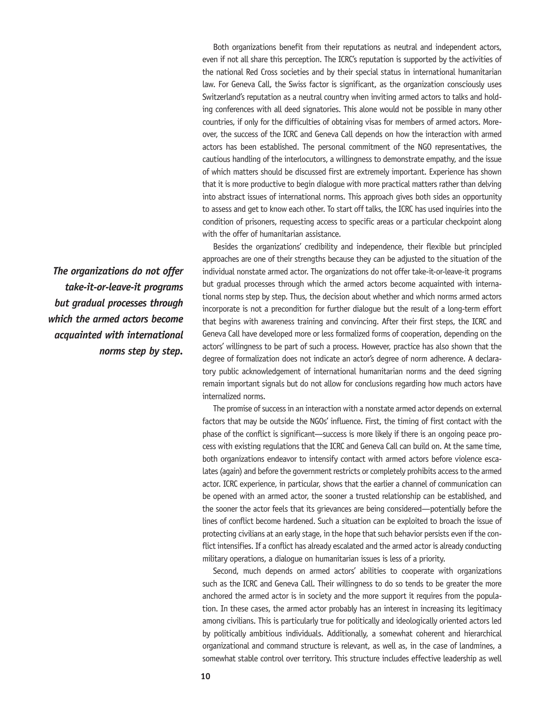Both organizations benefit from their reputations as neutral and independent actors, even if not all share this perception. The ICRC's reputation is supported by the activities of the national Red Cross societies and by their special status in international humanitarian law. For Geneva Call, the Swiss factor is significant, as the organization consciously uses Switzerland's reputation as a neutral country when inviting armed actors to talks and holding conferences with all deed signatories. This alone would not be possible in many other countries, if only for the difficulties of obtaining visas for members of armed actors. Moreover, the success of the ICRC and Geneva Call depends on how the interaction with armed actors has been established. The personal commitment of the NGO representatives, the cautious handling of the interlocutors, a willingness to demonstrate empathy, and the issue of which matters should be discussed first are extremely important. Experience has shown that it is more productive to begin dialogue with more practical matters rather than delving into abstract issues of international norms. This approach gives both sides an opportunity to assess and get to know each other. To start off talks, the ICRC has used inquiries into the condition of prisoners, requesting access to specific areas or a particular checkpoint along with the offer of humanitarian assistance.

Besides the organizations' credibility and independence, their flexible but principled approaches are one of their strengths because they can be adjusted to the situation of the individual nonstate armed actor. The organizations do not offer take-it-or-leave-it programs but gradual processes through which the armed actors become acquainted with international norms step by step. Thus, the decision about whether and which norms armed actors incorporate is not a precondition for further dialogue but the result of a long-term effort that begins with awareness training and convincing. After their first steps, the ICRC and Geneva Call have developed more or less formalized forms of cooperation, depending on the actors' willingness to be part of such a process. However, practice has also shown that the degree of formalization does not indicate an actor's degree of norm adherence. A declaratory public acknowledgement of international humanitarian norms and the deed signing remain important signals but do not allow for conclusions regarding how much actors have internalized norms.

The promise of success in an interaction with a nonstate armed actor depends on external factors that may be outside the NGOs' influence. First, the timing of first contact with the phase of the conflict is significant—success is more likely if there is an ongoing peace process with existing regulations that the ICRC and Geneva Call can build on. At the same time, both organizations endeavor to intensify contact with armed actors before violence escalates (again) and before the government restricts or completely prohibits access to the armed actor. ICRC experience, in particular, shows that the earlier a channel of communication can be opened with an armed actor, the sooner a trusted relationship can be established, and the sooner the actor feels that its grievances are being considered—potentially before the lines of conflict become hardened. Such a situation can be exploited to broach the issue of protecting civilians at an early stage, in the hope that such behavior persists even if the conflict intensifies. If a conflict has already escalated and the armed actor is already conducting military operations, a dialogue on humanitarian issues is less of a priority.

Second, much depends on armed actors' abilities to cooperate with organizations such as the ICRC and Geneva Call. Their willingness to do so tends to be greater the more anchored the armed actor is in society and the more support it requires from the population. In these cases, the armed actor probably has an interest in increasing its legitimacy among civilians. This is particularly true for politically and ideologically oriented actors led by politically ambitious individuals. Additionally, a somewhat coherent and hierarchical organizational and command structure is relevant, as well as, in the case of landmines, a somewhat stable control over territory. This structure includes effective leadership as well

*The organizations do not offer take-it-or-leave-it programs but gradual processes through which the armed actors become acquainted with international norms step by step.*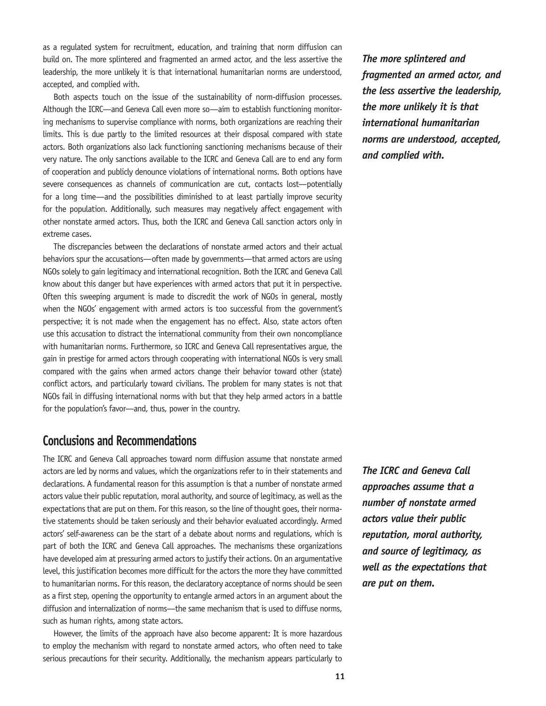as a regulated system for recruitment, education, and training that norm diffusion can build on. The more splintered and fragmented an armed actor, and the less assertive the leadership, the more unlikely it is that international humanitarian norms are understood, accepted, and complied with.

Both aspects touch on the issue of the sustainability of norm-diffusion processes. Although the ICRC—and Geneva Call even more so—aim to establish functioning monitoring mechanisms to supervise compliance with norms, both organizations are reaching their limits. This is due partly to the limited resources at their disposal compared with state actors. Both organizations also lack functioning sanctioning mechanisms because of their very nature. The only sanctions available to the ICRC and Geneva Call are to end any form of cooperation and publicly denounce violations of international norms. Both options have severe consequences as channels of communication are cut, contacts lost—potentially for a long time—and the possibilities diminished to at least partially improve security for the population. Additionally, such measures may negatively affect engagement with other nonstate armed actors. Thus, both the ICRC and Geneva Call sanction actors only in extreme cases.

The discrepancies between the declarations of nonstate armed actors and their actual behaviors spur the accusations—often made by governments—that armed actors are using NGOs solely to gain legitimacy and international recognition. Both the ICRC and Geneva Call know about this danger but have experiences with armed actors that put it in perspective. Often this sweeping argument is made to discredit the work of NGOs in general, mostly when the NGOs' engagement with armed actors is too successful from the government's perspective; it is not made when the engagement has no effect. Also, state actors often use this accusation to distract the international community from their own noncompliance with humanitarian norms. Furthermore, so ICRC and Geneva Call representatives argue, the gain in prestige for armed actors through cooperating with international NGOs is very small compared with the gains when armed actors change their behavior toward other (state) conflict actors, and particularly toward civilians. The problem for many states is not that NGOs fail in diffusing international norms with but that they help armed actors in a battle for the population's favor—and, thus, power in the country.

## **Conclusions and Recommendations**

The ICRC and Geneva Call approaches toward norm diffusion assume that nonstate armed actors are led by norms and values, which the organizations refer to in their statements and declarations. A fundamental reason for this assumption is that a number of nonstate armed actors value their public reputation, moral authority, and source of legitimacy, as well as the expectations that are put on them. For this reason, so the line of thought goes, their normative statements should be taken seriously and their behavior evaluated accordingly. Armed actors' self-awareness can be the start of a debate about norms and regulations, which is part of both the ICRC and Geneva Call approaches. The mechanisms these organizations have developed aim at pressuring armed actors to justify their actions. On an argumentative level, this justification becomes more difficult for the actors the more they have committed to humanitarian norms. For this reason, the declaratory acceptance of norms should be seen as a first step, opening the opportunity to entangle armed actors in an argument about the diffusion and internalization of norms—the same mechanism that is used to diffuse norms, such as human rights, among state actors.

However, the limits of the approach have also become apparent: It is more hazardous to employ the mechanism with regard to nonstate armed actors, who often need to take serious precautions for their security. Additionally, the mechanism appears particularly to

*The more splintered and fragmented an armed actor, and the less assertive the leadership, the more unlikely it is that international humanitarian norms are understood, accepted, and complied with.*

*The ICRC and Geneva Call approaches assume that a number of nonstate armed actors value their public reputation, moral authority, and source of legitimacy, as well as the expectations that are put on them.*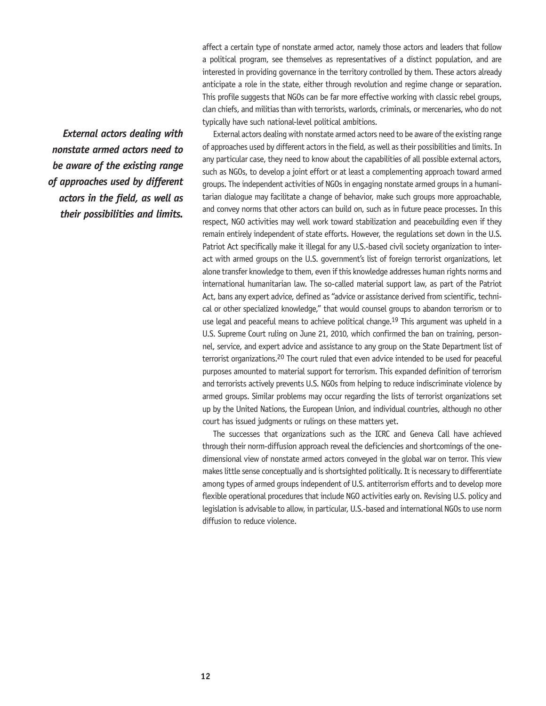affect a certain type of nonstate armed actor, namely those actors and leaders that follow a political program, see themselves as representatives of a distinct population, and are interested in providing governance in the territory controlled by them. These actors already anticipate a role in the state, either through revolution and regime change or separation. This profile suggests that NGOs can be far more effective working with classic rebel groups, clan chiefs, and militias than with terrorists, warlords, criminals, or mercenaries, who do not typically have such national-level political ambitions.

*External actors dealing with nonstate armed actors need to be aware of the existing range of approaches used by different actors in the field, as well as their possibilities and limits.* 

External actors dealing with nonstate armed actors need to be aware of the existing range of approaches used by different actors in the field, as well as their possibilities and limits. In any particular case, they need to know about the capabilities of all possible external actors, such as NGOs, to develop a joint effort or at least a complementing approach toward armed groups. The independent activities of NGOs in engaging nonstate armed groups in a humanitarian dialogue may facilitate a change of behavior, make such groups more approachable, and convey norms that other actors can build on, such as in future peace processes. In this respect, NGO activities may well work toward stabilization and peacebuilding even if they remain entirely independent of state efforts. However, the regulations set down in the U.S. Patriot Act specifically make it illegal for any U.S.-based civil society organization to interact with armed groups on the U.S. government's list of foreign terrorist organizations, let alone transfer knowledge to them, even if this knowledge addresses human rights norms and international humanitarian law. The so-called material support law, as part of the Patriot Act, bans any expert advice, defined as "advice or assistance derived from scientific, technical or other specialized knowledge," that would counsel groups to abandon terrorism or to use legal and peaceful means to achieve political change.<sup>19</sup> This argument was upheld in a U.S. Supreme Court ruling on June 21, 2010, which confirmed the ban on training, personnel, service, and expert advice and assistance to any group on the State Department list of terrorist organizations.20 The court ruled that even advice intended to be used for peaceful purposes amounted to material support for terrorism. This expanded definition of terrorism and terrorists actively prevents U.S. NGOs from helping to reduce indiscriminate violence by armed groups. Similar problems may occur regarding the lists of terrorist organizations set up by the United Nations, the European Union, and individual countries, although no other court has issued judgments or rulings on these matters yet.

The successes that organizations such as the ICRC and Geneva Call have achieved through their norm-diffusion approach reveal the deficiencies and shortcomings of the onedimensional view of nonstate armed actors conveyed in the global war on terror. This view makes little sense conceptually and is shortsighted politically. It is necessary to differentiate among types of armed groups independent of U.S. antiterrorism efforts and to develop more flexible operational procedures that include NGO activities early on. Revising U.S. policy and legislation is advisable to allow, in particular, U.S.-based and international NGOs to use norm diffusion to reduce violence.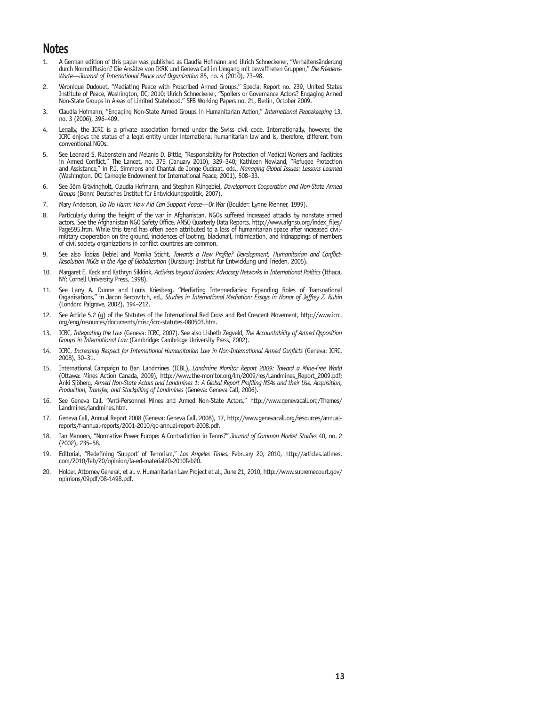## **Notes**

- 1. A German edition of this paper was published as Claudia Hofmann and Ulrich Schneckener, "Verhaltensänderung durch Normdiffusion? Die Ansätze von IKRK und Geneva Call im Umgang mit bewaffneten Gruppen," *Die Friedens-Warte—Journal of International Peace and Organization* 85, no. 4 (2010), 73–98.
- 2. Véronique Dudouet, "Mediating Peace with Proscribed Armed Groups," Special Report no. 239, United States Institute of Peace, Washington, DC, 2010; Ulrich Schneckener, "Spoilers or Governance Actors? Engaging Armed Non-State Groups in Areas of Limited Statehood," SFB Working Papers no. 21, Berlin, October 2009.
- 3. Claudia Hofmann, "Engaging Non-State Armed Groups in Humanitarian Action," *International Peacekeeping* 13, no. 3 (2006), 396–409.
- 4. Legally, the ICRC is a private association formed under the Swiss civil code. Internationally, however, the ICRC enjoys the status of a legal entity under international humanitarian law and is, therefore, different from conventional NGOs.
- 5. See Leonard S. Rubenstein and Melanie D. Bittle, "Responsibility for Protection of Medical Workers and Facilities in Armed Conflict," The Lancet, no. 375 (January 2010), 329–340; Kathleen Newland, "Refugee Protection and Assistance," in P.J. Simmons and Chantal de Jonge Oudraat, eds., *Managing Global Issues: Lessons Learned* (Washington, DC: Carnegie Endowment for International Peace, 2001), 508–33.
- 6. See Jörn Grävingholt, Claudia Hofmann, and Stephan Klingebiel, *Development Cooperation and Non-State Armed Groups* (Bonn: Deutsches Institut für Entwicklungspolitik, 2007).
- 7. Mary Anderson, *Do No Harm: How Aid Can Support Peace—Or War* (Boulder: Lynne Rienner, 1999).
- 8. Particularly during the height of the war in Afghanistan, NGOs suffered increased attacks by nonstate armed actors. See the Afghanistan NGO Safety Office, ANSO Quarterly Data Reports, http://www.afgnso.org/index\_files/ Page595.htm. While this trend has often been attributed to a loss of humanitarian space after increased civilmilitary cooperation on the ground, incidences of looting, blackmail, intimidation, and kidnappings of members of civil society organizations in conflict countries are common.
- 9. See also Tobias Debiel and Monika Sticht, *Towards a New Profile? Development, Humanitarian and Conflict-Resolution NGOs in the Age of Globalization* (Duisburg: Institut für Entwicklung und Frieden, 2005).
- 10. Margaret E. Keck and Kathryn Sikkink, *Activists beyond Borders: Advocacy Networks in International Politics* (Ithaca, NY: Cornell University Press, 1998).
- 11. See Larry A. Dunne and Louis Kriesberg, "Mediating Intermediaries: Expanding Roles of Transnational Organisations," in Jacon Bercovitch, ed., *Studies in International Mediation: Essays in Honor of Jeffrey Z. Rubin* (London: Palgrave, 2002), 194–212.
- 12. See Article 5.2 (g) of the Statutes of the International Red Cross and Red Crescent Movement, http://www.icrc. org/eng/resources/documents/misc/icrc-statutes-080503.htm.
- 13. ICRC, *Integrating the Law* (Geneva: ICRC, 2007). See also Lisbeth Zegveld, *The Accountability of Armed Opposition Groups in International Law* (Cambridge: Cambridge University Press, 2002).
- 14. ICRC, *Increasing Respect for International Humanitarian Law in Non-International Armed Conflicts* (Geneva: ICRC, 2008), 30–31.
- 15. International Campaign to Ban Landmines (ICBL), *Landmine Monitor Report 2009: Toward a Mine-Free World*  (Ottawa: Mines Action Canada, 2009), http://www.the-monitor.org/lm/2009/res/Landmines\_Report\_2009.pdf; Anki Sjöberg, *Armed Non-State Actors and Landmines 1: A Global Report Profiling NSAs and their Use, Acquisition, Production, Transfer, and Stockpiling of Landmines* (Geneva: Geneva Call, 2006).
- 16. See Geneva Call, "Anti-Personnel Mines and Armed Non-State Actors," http://www.genevacall.org/Themes/ Landmines/landmines.htm.
- 17. Geneva Call, Annual Report 2008 (Geneva: Geneva Call, 2008), 17, http://www.genevacall.org/resources/annualreports/f-annual-reports/2001-2010/gc-annual-report-2008.pdf.
- 18. Ian Manners, "Normative Power Europe: A Contradiction in Terms?" *Journal of Common Market Studies* 40, no. 2 (2002), 235–58.
- 19. Editorial, "Redefining 'Support' of Terrorism," *Los Angeles Times,* February 20, 2010, http://articles.latimes. com/2010/feb/20/opinion/la-ed-material20-2010feb20.
- 20. Holder, Attorney General, et al. v. Humanitarian Law Project et al., June 21, 2010, http://www.supremecourt.gov/ opinions/09pdf/08-1498.pdf.